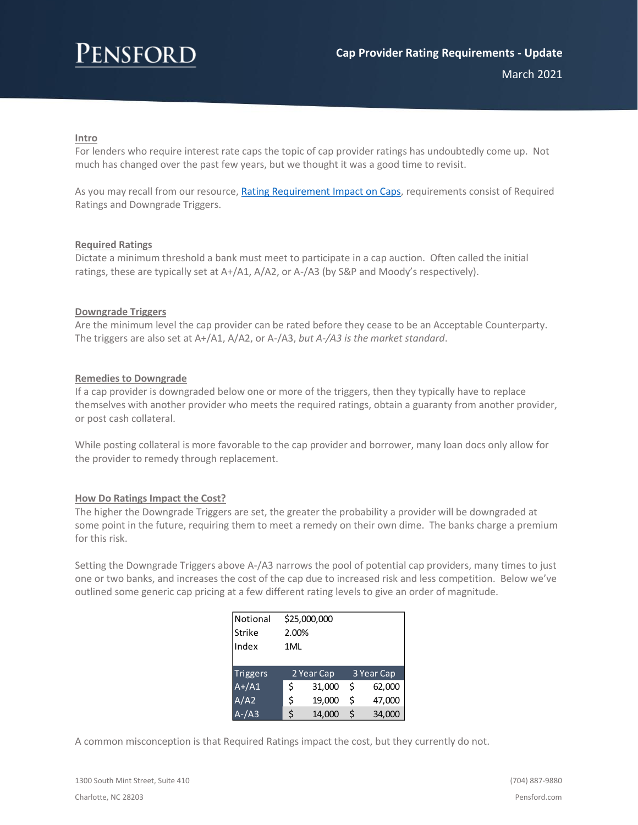# **ENSFORD**

March 2021

### **Intro**

For lenders who require interest rate caps the topic of cap provider ratings has undoubtedly come up. Not much has changed over the past few years, but we thought it was a good time to revisit.

As you may recall from our resource[, Rating Requirement Impact on Caps,](https://www.pensford.com/resources/rating-requirement-impact-on-caps/) requirements consist of Required Ratings and Downgrade Triggers.

#### **Required Ratings**

Dictate a minimum threshold a bank must meet to participate in a cap auction. Often called the initial ratings, these are typically set at A+/A1, A/A2, or A-/A3 (by S&P and Moody's respectively).

#### **Downgrade Triggers**

Are the minimum level the cap provider can be rated before they cease to be an Acceptable Counterparty. The triggers are also set at A+/A1, A/A2, or A-/A3, *but A-/A3 is the market standard*.

#### **Remedies to Downgrade**

If a cap provider is downgraded below one or more of the triggers, then they typically have to replace themselves with another provider who meets the required ratings, obtain a guaranty from another provider, or post cash collateral.

While posting collateral is more favorable to the cap provider and borrower, many loan docs only allow for the provider to remedy through replacement.

#### **How Do Ratings Impact the Cost?**

The higher the Downgrade Triggers are set, the greater the probability a provider will be downgraded at some point in the future, requiring them to meet a remedy on their own dime. The banks charge a premium for this risk.

Setting the Downgrade Triggers above A-/A3 narrows the pool of potential cap providers, many times to just one or two banks, and increases the cost of the cap due to increased risk and less competition. Below we've outlined some generic cap pricing at a few different rating levels to give an order of magnitude.

| Notional        | \$25,000,000 |            |    |            |
|-----------------|--------------|------------|----|------------|
| <b>Strike</b>   | 2.00%        |            |    |            |
| Index           | 1ML          |            |    |            |
|                 |              |            |    |            |
|                 |              |            |    |            |
| <b>Triggers</b> |              | 2 Year Cap |    | 3 Year Cap |
| $A+/A1$         | Ś            | 31,000     | Ś  | 62,000     |
| A/A2            | \$           | 19,000     | \$ | 47,000     |

A common misconception is that Required Ratings impact the cost, but they currently do not.